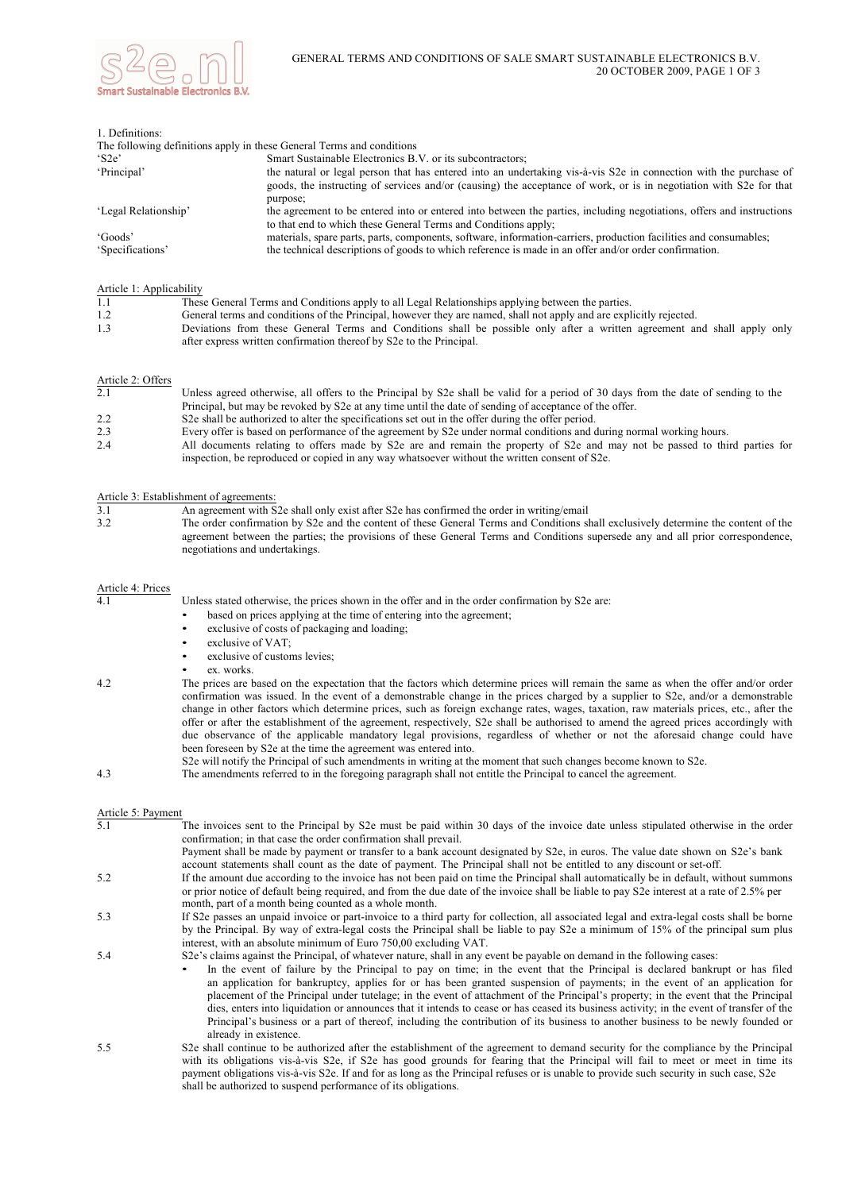

| 1. Definitions:                                                       |                                                                                                                                                                                                                                                     |
|-----------------------------------------------------------------------|-----------------------------------------------------------------------------------------------------------------------------------------------------------------------------------------------------------------------------------------------------|
| The following definitions apply in these General Terms and conditions |                                                                                                                                                                                                                                                     |
| $^{\circ}$ S2e'                                                       | Smart Sustainable Electronics B.V. or its subcontractors;                                                                                                                                                                                           |
| 'Principal'                                                           | the natural or legal person that has entered into an undertaking vis-à-vis S2e in connection with the purchase of<br>goods, the instructing of services and/or (causing) the acceptance of work, or is in negotiation with S2e for that<br>purpose; |
| 'Legal Relationship'                                                  | the agreement to be entered into or entered into between the parties, including negotiations, offers and instructions<br>to that end to which these General Terms and Conditions apply;                                                             |
| 'Goods'                                                               | materials, spare parts, parts, components, software, information-carriers, production facilities and consumables;                                                                                                                                   |
| 'Specifications'                                                      | the technical descriptions of goods to which reference is made in an offer and/or order confirmation.                                                                                                                                               |

Article 1: Applicability

| 1.1 | These General Terms and Conditions apply to all Legal Relationships applying between the parties.                                                                                               |
|-----|-------------------------------------------------------------------------------------------------------------------------------------------------------------------------------------------------|
| 1.2 | General terms and conditions of the Principal, however they are named, shall not apply and are explicitly rejected.                                                                             |
| 1.3 | Deviations from these General Terms and Conditions shall be possible only after a written agreement and shall apply only<br>after express written confirmation thereof by S2e to the Principal. |

### Article 2: Offers

| 2.1 | Unless agreed otherwise, all offers to the Principal by S2e shall be valid for a period of 30 days from the date of sending to the |
|-----|------------------------------------------------------------------------------------------------------------------------------------|
|     | Principal, but may be revoked by S2e at any time until the date of sending of acceptance of the offer.                             |
| 2.2 | S <sub>2</sub> S <sub>2</sub> shall be authorized to alter the specifications set out in the offer during the offer period.        |
| 2.3 | Every offer is based on performance of the agreement by S2e under normal conditions and during normal working hours.               |
| 2.4 | All documents relating to offers made by S2e are and remain the property of S2e and may not be passed to third parties for         |
|     | inspection, be reproduced or copied in any way whatsoever without the written consent of S2e.                                      |

### Article 3: Establishment of agreements:

| 3.1 | An agreement with S2e shall only exist after S2e has confirmed the order in writing/email                                          |
|-----|------------------------------------------------------------------------------------------------------------------------------------|
| 3.2 | The order confirmation by S2e and the content of these General Terms and Conditions shall exclusively determine the content of the |
|     | agreement between the parties; the provisions of these General Terms and Conditions supersede any and all prior correspondence,    |
|     | negotiations and undertakings.                                                                                                     |

# Article 4: Prices

Unless stated otherwise, the prices shown in the offer and in the order confirmation by S2e are:

- based on prices applying at the time of entering into the agreement;
- exclusive of costs of packaging and loading;
- exclusive of VAT;
- exclusive of customs levies:
- ex. works.
- 4.2 The prices are based on the expectation that the factors which determine prices will remain the same as when the offer and/or order confirmation was issued. In the event of a demonstrable change in the prices charged by a supplier to S2e, and/or a demonstrable change in other factors which determine prices, such as foreign exchange rates, wages, taxation, raw materials prices, etc., after the offer or after the establishment of the agreement, respectively, S2e shall be authorised to amend the agreed prices accordingly with due observance of the applicable mandatory legal provisions, regardless of whether or not the aforesaid change could have been foreseen by S2e at the time the agreement was entered into.

#### S2e will notify the Principal of such amendments in writing at the moment that such changes become known to S2e.

4.3 The amendments referred to in the foregoing paragraph shall not entitle the Principal to cancel the agreement.

Article 5: Payment The invoices sent to the Principal by S2e must be paid within 30 days of the invoice date unless stipulated otherwise in the order confirmation; in that case the order confirmation shall prevail. Payment shall be made by payment or transfer to a bank account designated by S2e, in euros. The value date shown on S2e's bank account statements shall count as the date of payment. The Principal shall not be entitled to any discount or set-off. 5.2 If the amount due according to the invoice has not been paid on time the Principal shall automatically be in default, without summons or prior notice of default being required, and from the due date of the invoice shall be liable to pay S2e interest at a rate of 2.5% per month, part of a month being counted as a whole month. 5.3 If S2e passes an unpaid invoice or part-invoice to a third party for collection, all associated legal and extra-legal costs shall be borne by the Principal. By way of extra-legal costs the Principal shall be liable to pay S2e a minimum of 15% of the principal sum plus interest, with an absolute minimum of Euro 750,00 excluding VAT. 5.4 S2e's claims against the Principal, of whatever nature, shall in any event be payable on demand in the following cases: In the event of failure by the Principal to pay on time; in the event that the Principal is declared bankrupt or has filed an application for bankruptcy, applies for or has been granted suspension of payments; in the event of an application for placement of the Principal under tutelage; in the event of attachment of the Principal's property; in the event that the Principal dies, enters into liquidation or announces that it intends to cease or has ceased its business activity; in the event of transfer of the Principal's business or a part of thereof, including the contribution of its business to another business to be newly founded or already in existence. 5.5 S2e shall continue to be authorized after the establishment of the agreement to demand security for the compliance by the Principal with its obligations vis-à-vis S2e, if S2e has good grounds for fearing that the Principal will fail to meet or meet in time its payment obligations vis-à-vis S2e. If and for as long as the Principal refuses or is unable to provide such security in such case, S2e shall be authorized to suspend performance of its obligations.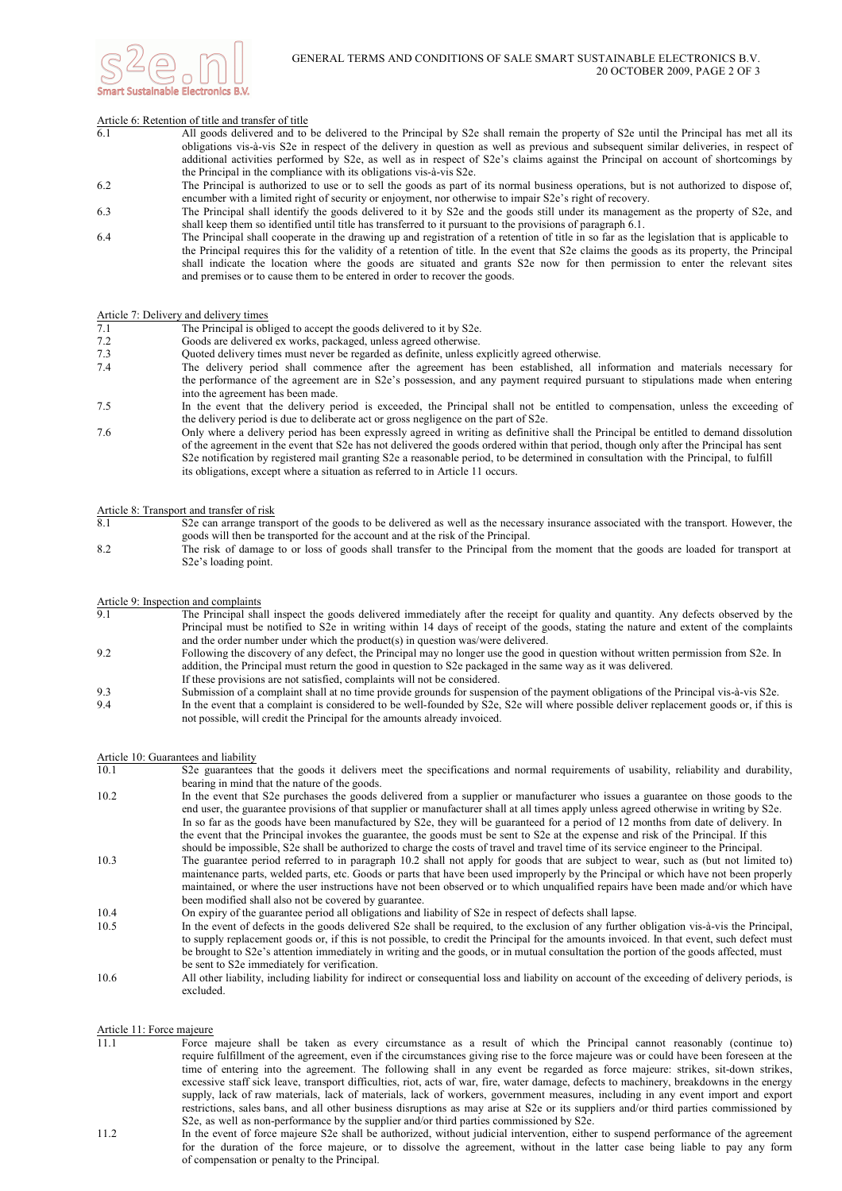

### Article 6: Retention of title and transfer of title

- 6.1 All goods delivered and to be delivered to the Principal by S2e shall remain the property of S2e until the Principal has met all its obligations vis-à-vis S2e in respect of the delivery in question as well as previous and subsequent similar deliveries, in respect of additional activities performed by S2e, as well as in respect of S2e's claims against the Principal on account of shortcomings by the Principal in the compliance with its obligations vis-à-vis S2e.
- 6.2 The Principal is authorized to use or to sell the goods as part of its normal business operations, but is not authorized to dispose of, encumber with a limited right of security or enjoyment, nor otherwise to impair S2e's right of recovery.
- 6.3 The Principal shall identify the goods delivered to it by S2e and the goods still under its management as the property of S2e, and shall keep them so identified until title has transferred to it pursuant to the provisions of paragraph 6.1.
- 6.4 The Principal shall cooperate in the drawing up and registration of a retention of title in so far as the legislation that is applicable to the Principal requires this for the validity of a retention of title. In the event that S2e claims the goods as its property, the Principal shall indicate the location where the goods are situated and grants S2e now for then permission to enter the relevant sites and premises or to cause them to be entered in order to recover the goods.

### Article 7: Delivery and delivery times

- 7.1 The Principal is obliged to accept the goods delivered to it by S2e.
- 7.2 Goods are delivered ex works, packaged, unless agreed otherwise.
- Quoted delivery times must never be regarded as definite, unless explicitly agreed otherwise.
- 7.4 The delivery period shall commence after the agreement has been established, all information and materials necessary for the performance of the agreement are in S2e's possession, and any payment required pursuant to stipulations made when entering into the agreement has been made.
- 7.5 In the event that the delivery period is exceeded, the Principal shall not be entitled to compensation, unless the exceeding of the delivery period is due to deliberate act or gross negligence on the part of S2e.
- 7.6 Only where a delivery period has been expressly agreed in writing as definitive shall the Principal be entitled to demand dissolution of the agreement in the event that S2e has not delivered the goods ordered within that period, though only after the Principal has sent S2e notification by registered mail granting S2e a reasonable period, to be determined in consultation with the Principal, to fulfill its obligations, except where a situation as referred to in Article 11 occurs.

### Article 8: Transport and transfer of risk

- 8.1 S2e can arrange transport of the goods to be delivered as well as the necessary insurance associated with the transport. However, the goods will then be transported for the account and at the risk of the Principal.
- 8.2 The risk of damage to or loss of goods shall transfer to the Principal from the moment that the goods are loaded for transport at S2e's loading point.

## Article 9: Inspection and complaints<br>9.1 The Principal sha

- The Principal shall inspect the goods delivered immediately after the receipt for quality and quantity. Any defects observed by the Principal must be notified to S2e in writing within 14 days of receipt of the goods, stating the nature and extent of the complaints and the order number under which the product(s) in question was/were delivered.
- 9.2 Following the discovery of any defect, the Principal may no longer use the good in question without written permission from S2e. In addition, the Principal must return the good in question to S2e packaged in the same way as it was delivered.
- If these provisions are not satisfied, complaints will not be considered.
- 9.3 Submission of a complaint shall at no time provide grounds for suspension of the payment obligations of the Principal vis-à-vis S2e. 9.4 In the event that a complaint is considered to be well-founded by S2e, S2e will where possible deliver replacement goods or, if this is not possible, will credit the Principal for the amounts already invoiced.

### Article 10: Guarantees and liability

- 10.1 S2e guarantees that the goods it delivers meet the specifications and normal requirements of usability, reliability and durability, bearing in mind that the nature of the goods.
- 10.2 In the event that S2e purchases the goods delivered from a supplier or manufacturer who issues a guarantee on those goods to the end user, the guarantee provisions of that supplier or manufacturer shall at all times apply unless agreed otherwise in writing by S2e. In so far as the goods have been manufactured by S2e, they will be guaranteed for a period of 12 months from date of delivery. In the event that the Principal invokes the guarantee, the goods must be sent to S2e at the expense and risk of the Principal. If this should be impossible, S2e shall be authorized to charge the costs of travel and travel time of its service engineer to the Principal. 10.3 The guarantee period referred to in paragraph 10.2 shall not apply for goods that are subject to wear, such as (but not limited to) maintenance parts, welded parts, etc. Goods or parts that have been used improperly by the Principal or which have not been properly maintained, or where the user instructions have not been observed or to which unqualified repairs have been made and/or which have been modified shall also not be covered by guarantee. 10.4 On expiry of the guarantee period all obligations and liability of S2e in respect of defects shall lapse. 10.5 In the event of defects in the goods delivered S2e shall be required, to the exclusion of any further obligation vis-à-vis the Principal, to supply replacement goods or, if this is not possible, to credit the Principal for the amounts invoiced. In that event, such defect must
- be brought to S2e's attention immediately in writing and the goods, or in mutual consultation the portion of the goods affected, must be sent to S2e immediately for verification.
- 10.6 All other liability, including liability for indirect or consequential loss and liability on account of the exceeding of delivery periods, is excluded.

### Article 11: Force majeure

- 11.1 Force majeure shall be taken as every circumstance as a result of which the Principal cannot reasonably (continue to) require fulfillment of the agreement, even if the circumstances giving rise to the force majeure was or could have been foreseen at the time of entering into the agreement. The following shall in any event be regarded as force majeure: strikes, sit-down strikes, excessive staff sick leave, transport difficulties, riot, acts of war, fire, water damage, defects to machinery, breakdowns in the energy supply, lack of raw materials, lack of materials, lack of workers, government measures, including in any event import and export restrictions, sales bans, and all other business disruptions as may arise at S2e or its suppliers and/or third parties commissioned by S2e, as well as non-performance by the supplier and/or third parties commissioned by S2e.
- 11.2 In the event of force majeure S2e shall be authorized, without judicial intervention, either to suspend performance of the agreement for the duration of the force majeure, or to dissolve the agreement, without in the latter case being liable to pay any form of compensation or penalty to the Principal.